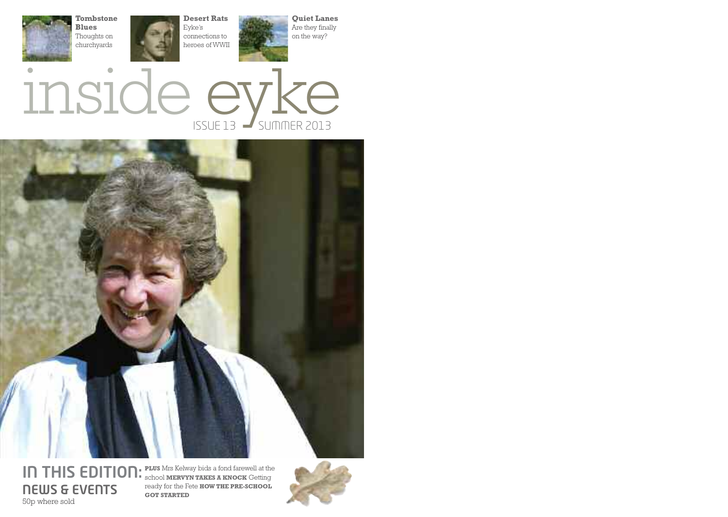





**IN THIS EDITION:** PLUS Mrs Kelway bids a fond farewell at the **NEWS & EVENTS** 50p where sold

school **MERVYN TAKES A KNOCK** Getting ready for the Fete **HOW THE PRE-SCHOOL GOT STARTED**

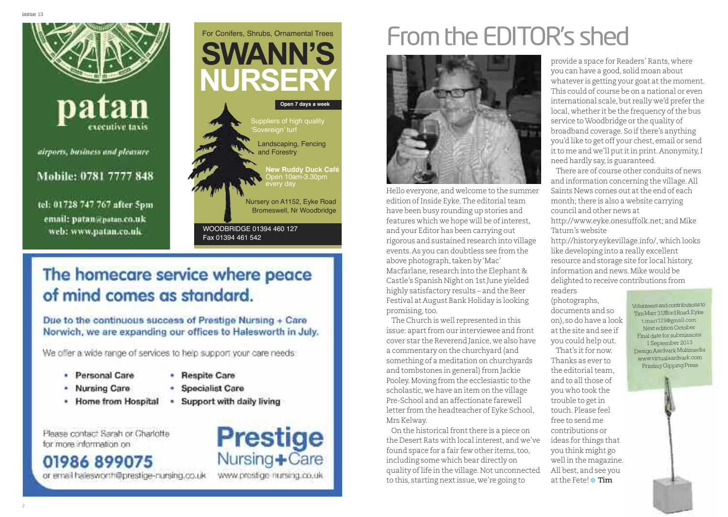

tel: 01728 747 767 after 5pm email: patan@patan.co.uk web: www.patan.co.uk



### The homecare service where peace of mind comes as standard.

Due to the continuous success of Prestige Nursing + Care Norwich, we are expanding our offices to Halesworth in July.

We offer a wide range of services to help support your care needs:

- Personal Care
- Nursing Care
- · Home from Hospital

• Respite Care

- **Specialist Care**
- Support with daily living ٠

Please contact Sarah or Charlotte for more information on

### 01986 899075

or email halesworth@prestine-nursing.co.uk

- 
- 

**Prestige** Nursing+Care www.prestige-nursing.co.uk

### From the EDITOR's shed |<br>|



Hello everyone, and welcome to the summer edition of Inside Eyke. The editorial team have been busy rounding up stories and features which we hope will be of interest, and your Editor has been carrying out rigorous and sustained research into village events. As you can doubtless see from the above photograph, taken by 'Mac' Macfarlane, research into the Elephant & Castle's Spanish Night on 1st June yielded highly satisfactory results – and the Beer Festival at August Bank Holiday is looking promising, too.

The Church is well represented in this issue: apart from our interviewee and front cover star the Reverend Janice, we also have a commentary on the churchyard (and something of a meditation on churchyards and tombstones in general) from Jackie Pooley. Moving from the ecclesiastic to the scholastic, we have an item on the village Pre-School and an affectionate farewell letter from the headteacher of Eyke School, Mrs Kelway.

On the historical front there is a piece on the Desert Rats with local interest, and we've found space for a fair few other items, too, including some which bear directly on quality of life in the village. Not unconnected to this, starting next issue, we're going to

provide a space for Readers' Rants, where you can have a good, solid moan about whatever is getting your goat at the moment. This could of course be on a national or even international scale, but really we'd prefer the local, whether it be the frequency of the bus service to Woodbridge or the quality of broadband coverage. So if there's anything you'd like to get off your chest, email or send it to me and we'll put it in print. Anonymity, I need hardly say, is guaranteed.

There are of course other conduits of news and information concerning the village. All Saints News comes out at the end of each month; there is also a website carrying council and other news at

http://www.eyke.onesuffolk.net; and Mike Tatum's website

http://history.eykevillage.info/, which looks like developing into a really excellent resource and storage site for local history, information and news. Mike would be delighted to receive contributions from

r e a d e r s ( p h o t o g r a p h s , documents and so o n ) , s o d o h a v e a l o o k at the site and see if you could help out. That's it for now.

Thanks as ever to the editorial team, a n d t o a l l t h o s e o f you who took the trouble to get in touch. Please feel free to send me contributions or ideas for things that you think might go well in the magazine. All best, and see you at the Fete! \* Tim

Tim Marr 3 Ufford Road, Eyke t.marr123@gmail.com Next edition October Final date for submissions 1 September 2013 Design Aardvark Multimedia www.virtualaardvark.com Printing Gipping Press

Volunteers and contributions to

2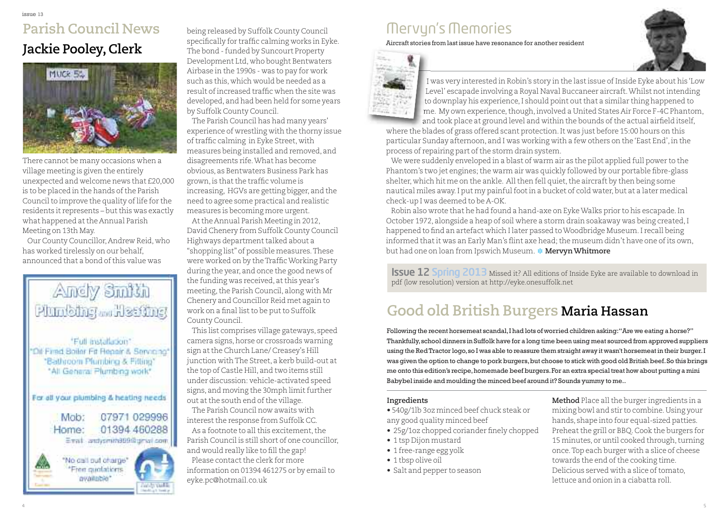### **Parish Council News Jackie Pooley,Clerk**



There cannot be many occasions when a village meeting is given the entirely unexpected and welcome news that £20,000 is to be placed in the hands of the Parish Council to improve the quality of life for the residents it represents – but this was exactly what happened atthe Annual Parish Meeting on 13th May.

Our County Councillor,Andrew Reid, who has worked tirelessly on our behalf, announced that a bond ofthis value was



being released by Suffolk County Council specifically for traffic calming works in Eyke. The bond - funded by Suncourt Property Development Ltd, who bought Bentwaters Airbase in the 1990s - was to pay for work such as this, which would be needed as a result ofincreased traffic when the site was developed, and had been held for some years by Suffolk County Council.

The Parish Council has had many years' experience of wrestling with the thorny issue of traffic calming in Eyke Street, with measures being installed and removed, and disagreements rife.What has become obvious, as Bentwaters Business Park has grown, is that the traffic volume is increasing, HGVs are getting bigger, and the need to agree some practical and realistic measures is becoming more urgent.

Atthe Annual Parish Meeting in 2012, David Chenery from Suffolk County Council Highways department talked about a "shopping list" of possible measures.These were worked on by theTrafficWorking Party during the year, and once the good news of the funding was received, at this year's meeting, the Parish Council, along with Mr Chenery and Councillor Reid met again to work on a final list to be put to Suffolk County Council.

This list comprises village gateways, speed camera signs, horse or crossroads warning sign at the Church Lane/ Creasey's Hill junction with The Street, a kerb build-out at the top of Castle Hill, and two items still under discussion: vehicle-activated speed signs, and moving the 30mph limit further out at the south end of the village.

The Parish Council now awaits with interest the response from Suffolk CC. As a footnote to all this excitement, the Parish Council is still short of one councillor, and would really like to fill the gap! Please contact the clerk for more information on 01394 461275 or by email to eyke.pc@hotmail.co.uk

### Mervyn's Memories

Aircraft stories from last issue have resonance for another resident



I was very interested in Robin's story in the last issue of Inside Eyke about his 'Low Level' escapade involving a Royal Naval Buccaneer aircraft.Whilst notintending to downplay his experience,I should point outthat a similar thing happened to me. My own experience, though, involved a United States Air Force F-4C Phantom,

and took place at ground level and within the bounds of the actual airfield itself, where the blades of grass offered scant protection.It was just before 15:00 hours on this particular Sunday afternoon, and I was working with a few others on the 'East End', in the process of repairing part of the storm drain system.

We were suddenly enveloped in a blast of warm air as the pilot applied full power to the Phantom's two jet engines; the warm air was quickly followed by our portable fibre-glass shelter, which hit me on the ankle. All then fell quiet, the aircraft by then being some nautical miles away. I put my painful foot in a bucket of cold water, but at a later medical check-up I was deemed to be A-OK.

Robin also wrote that he had found a hand-axe on EykeWalks prior to his escapade.In October 1972, alongside a heap of soil where a storm drain soakaway was being created,I happened to find an artefact which I later passed toWoodbridge Museum.I recall being informed that it was an Early Man's flint axe head; the museum didn't have one of its own, but had one on loan from Ipswich Museum. **❉ MervynWhitmore**

**Issue 12 Spring 2013** Missed it? All editions of Inside Eyke are available to download in pdf (low resolution) version at http://eyke.onesuffolk.net

### **Good old British Burgers Maria Hassan**

Following the recent horsemeat scandal,I had lots of worried children asking:"Are we eating a horse?" Thankfully,school dinners in Suffolk have for a long time been using meat sourced from approved suppliers using the RedTractor logo,so I was able to reassure them straight away it wasn't horsemeat in their burger.I was given the option to change to pork burgers,but choose to stick with good old British beef.So this brings me onto this edition's recipe,homemade beef burgers.For an extra special treat how about putting a mini Babybel inside and moulding the minced beef around it? Sounds yummy to me..

#### **Ingredients**

• 540g/1lb 3oz minced beef chuck steak or any good quality minced beef

- 25g/1oz chopped coriander finely chopped
- 1 tsp Dijon mustard
- 1 free-range egg yolk
- 1 tbsp olive oil
- Salt and pepper to season

**Method** Place all the burger ingredients in a mixing bowl and stir to combine.Using your hands, shape into four equal-sized patties. Preheat the grill or BBQ. Cook the burgers for 15 minutes, or until cooked through, turning once.Top each burger with a slice of cheese towards the end of the cooking time. Delicious served with a slice of tomato, lettuce and onion in a ciabatta roll.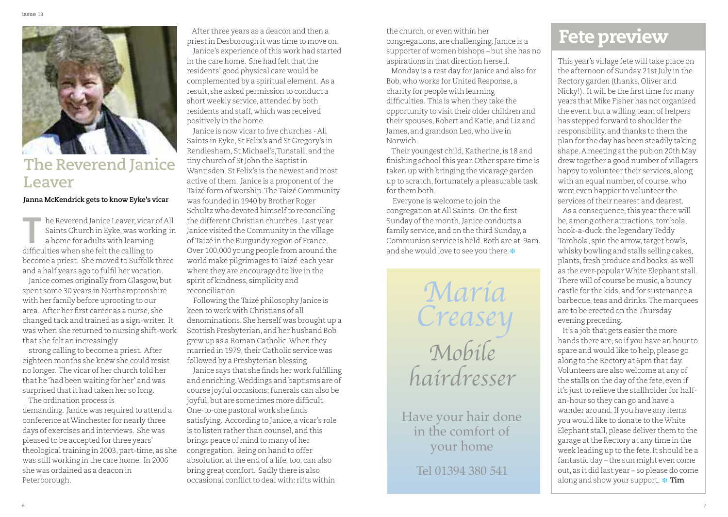

### **The Reverend Janice Leaver**

#### **Janna McKendrick gets to know Eyke's vicar**

he Reverend Janice Leaver, vicar of All<br>
Saints Church in Eyke, was working in<br>
a home for adults with learning<br>
difficulties when she felt the collinate Saints Church in Eyke, was working in a home for adults with learning difficulties when she felt the calling to become a priest. She moved to Suffolk three and a half years ago to fulfil her vocation.

Janice comes originally from Glasgow,but spent some 30 years in Northamptonshire with her family before uprooting to our area. After her first career as a nurse, she changed tack and trained as a sign-writer. It was when she returned to nursing shift-work that she felt an increasingly

strong calling to become a priest. After eighteen months she knew she could resist no longer. The vicar of her church told her that he'had been waiting for her' and was surprised thatit had taken her so long.

The ordination process is demanding. Janice was required to attend a conference atWinchester for nearly three days of exercises and interviews. She was pleased to be accepted for three years' theological training in 2003, part-time, as she was still working in the care home. In 2006 she was ordained as a deacon in Peterborough.

After three years as a deacon and then a priestin Desborough it was time to move on. Janice's experience of this work had started in the care home. She had felt that the residents' good physical care would be complemented by a spiritual element. As a result, she asked permission to conduct a short weekly service, attended by both residents and staff, which was received positively in the home.

Janice is now vicar to five churches - All Saints in Eyke, St Felix's and St Gregory's in Rendlesham, St Michael's,Tunstall, and the tiny church of St John the Baptist in Wantisden. St Felix's is the newest and most active of them. Janice is a proponent of the Taizé form of worship. The Taizé Community was founded in 1940 by Brother Roger Schultz who devoted himselfto reconciling the different Christian churches. Last year Janice visited the Community in the village ofTaizé in the Burgundy region of France. Over 100,000 young people from around the world make pilgrimages toTaizé each year where they are encouraged to live in the spirit of kindness, simplicity and reconciliation.

Following theTaizé philosophy Janice is keen to work with Christians of all denominations. She herself was brought up a Scottish Presbyterian, and her husband Bob grew up as a Roman Catholic.When they married in 1979,their Catholic service was followed by a Presbyterian blessing.

Janice says that she finds her work fulfilling and enriching.Weddings and baptisms are of course joyful occasions; funerals can also be joyful, but are sometimes more difficult. One-to-one pastoral work she finds satisfying. According to Janice, a vicar's role is to listen rather than counsel, and this brings peace of mind to many of her congregation. Being on hand to offer absolution at the end of a life, too, can also bring great comfort. Sadly there is also occasional conflictto deal with: rifts within

the church, or even within her congregations, are challenging.Janice is a supporter of women bishops – but she has no aspirations in that direction herself.

Monday is a rest day for Janice and also for Bob, who works for United Response, a charity for people with learning difficulties. This is when they take the opportunity to visit their older children and their spouses,Robert and Katie, and Liz and James, and grandson Leo, who live in Norwich.

Their youngest child, Katherine, is 18 and finishing school this year. Other spare time is taken up with bringing the vicarage garden up to scratch, fortunately a pleasurable task for them both.

Everyone is welcome to join the congregation at All Saints. On the first Sunday of the month, Janice conducts a family service, and on the third Sunday, a Communion service is held.Both are at 9am. and she would love to see you there. **❉**

> Maria Creasey Mobile hairdresser

Have your hair done in the comfort of your home

Tel 01394 380 541

### **Fetepreview**

This year's village fete will take place on  $\frac{1}{10}$  the afternoon of Sunday 21st July in the Rectory garden (thanks, Oliver and Nicky!). It will be the first time for many years that Mike Fisher has not organised the event, but a willing team of helpers has stepped forward to shoulder the responsibility, and thanks to them the plan for the day has been steadily taking shape. A meeting at the pub on 20th May drew together a good number of villagers happy to volunteer their services, along with an equal number, of course, who were even happier to volunteer the services of their nearest and dearest. As a consequence, this year there will

be, among other attractions,tombola, hook-a-duck, the legendary Teddy Tombola, spin the arrow, target bowls, whisky bowling and stalls selling cakes, plants,fresh produce and books, as well as the ever-popularWhite Elephant stall. There will of course be music, a bouncy castle for the kids, and for sustenance a barbecue, teas and drinks. The marquees are to be erected on the Thursday evening preceding.

It's a job that gets easier the more hands there are, so if you have an hour to spare and would like to help, please go along to the Rectory at 6pm that day. Volunteers are also welcome at any of the stalls on the day of the fete, even if it's just to relieve the stallholder for halfan-hour so they can go and have a wander around.If you have any items you would like to donate to theWhite Elephant stall, please deliver them to the garage atthe Rectory at any time in the week leading up to the fete.It should be a fantastic day – the sun might even come out, as it did last year – so please do come along and show your support. **❉ Tim**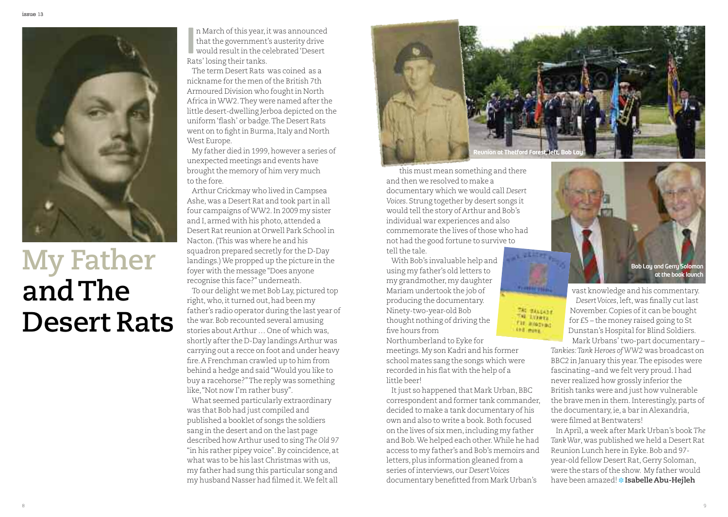

# **My Father andThe Desert Rats**

n March of this year, it was announced that the government's austerity drive In March of this year, it was announced<br>that the government's austerity drive<br>would result in the celebrated 'Desert<br>Pats' locing their tanks Rats' losing their tanks.

The term Desert Rats was coined as a nickname for the men of the British 7th Armoured Division who foughtin North Africa inWW2.They were named after the little desert-dwelling Jerboa depicted on the uniform'flash' or badge.The Desert Rats went on to fight in Burma, Italy and North West Europe.

My father died in 1999, however a series of unexpected meetings and events have brought the memory of him very much to the fore.

Arthur Crickmay who lived in Campsea Ashe, was a Desert Rat and took partin all four campaigns ofWW2.In 2009 my sister and I, armed with his photo, attended a Desert Rat reunion at Orwell Park School in Nacton.(This was where he and his squadron prepared secretly for the D-Day landings.)We propped up the picture in the foyer with the message"Does anyone recognise this face?"underneath. To our delight we met Bob Lay, pictured top right, who, it turned out, had been my father's radio operator during the last year of the war. Bob recounted several amusing stories about Arthur … One of which was, shortly after the D-Day landings Arthur was carrying out a recce on foot and under heavy fire.A Frenchman crawled up to him from behind a hedge and said"Would you like to buy a racehorse?"The reply was something like,"Not now I'm rather busy".

What seemed particularly extraordinary was that Bob had just compiled and published a booklet of songs the soldiers sang in the desert and on the last page described how Arthur used to sing *The Old 97* "in his rather pipey voice".By coincidence, at what was to be his last Christmas with us, my father had sung this particular song and my husband Nasser had filmed it.We felt all



THE MALLAND<br>THE EVERY THE STATE **SHE HONE** 

this must mean something and there and then we resolved to make a documentary which we would call *Desert Voices*. Strung together by desert songs it would tell the story of Arthur and Bob's individual war experiences and also commemorate the lives of those who had not had the good fortune to survive to tell the tale.

With Bob's invaluable help and using my father's old letters to my grandmother,my daughter Mariam undertook the job of producing the documentary. Ninety-two-year-old Bob thought nothing of driving the five hours from

Northumberland to Eyke for meetings.My son Kadri and his former school mates sang the songs which were recorded in his flat with the help of a little beer!

It just so happened that Mark Urban, BBC correspondent and former tank commander, decided to make a tank documentary of his own and also to write a book.Both focused on the lives of six men,including my father and Bob.We helped each other.While he had access to my father's and Bob's memoirs and letters, plus information gleaned from a series ofinterviews, our *DesertVoices* documentary benefitted from Mark Urban's



vast knowledge and his commentary. *DesertVoices*,left, was finally cutlast November. Copies of it can be bought for £5 – the money raised going to St Dunstan's Hospital for Blind Soldiers.

Mark Urbans'two-part documentary – *Tankies:Tank Heroes ofWW2* was broadcast on BBC2 in January this year.The episodes were fascinating –and we felt very proud.I had never realized how grossly inferior the British tanks were and just how vulnerable the brave men in them. Interestingly, parts of the documentary,ie, a bar in Alexandria, were filmed at Bentwaters!

In April, a week after Mark Urban's book *The TankWar*, was published we held a Desert Rat Reunion Lunch here in Eyke. Bob and 97year-old fellow Desert Rat, Gerry Soloman, were the stars of the show. My father would have been amazed! **❉ Isabelle Abu-Hejleh**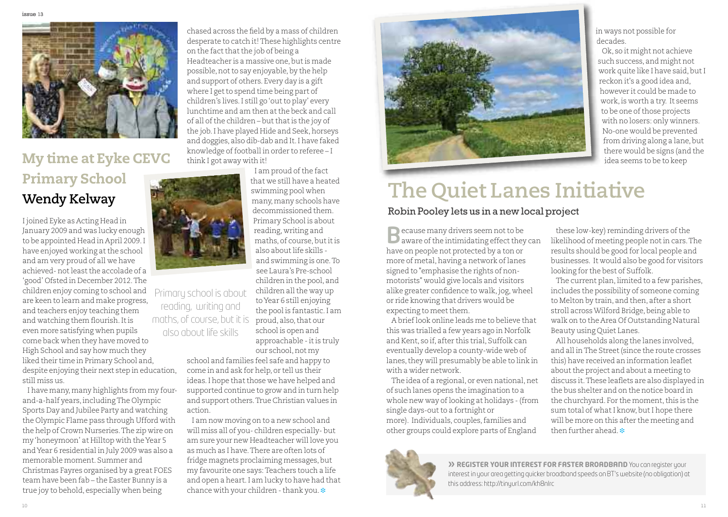

### **My time at Eyke CEVC Primary School Wendy Kelway**

I joined Eyke as Acting Head in January 2009 and was lucky enough to be appointed Head in April 2009.I have enjoyed working at the school and am very proud of all we have achieved- notleastthe accolade of a 'good' Ofsted in December 2012.The children enjoy coming to school and are keen to learn and make progress, and teachers enjoy teaching them and watching them flourish.Itis even more satisfying when pupils come back when they have moved to High School and say how much they liked their time in Primary School and, despite enjoying their next step in education, still miss us.

I have many, many highlights from my fourand-a-half years,includingThe Olympic Sports Day and Jubilee Party and watching the Olympic Flame pass through Ufford with the help of Crown Nurseries.The zip wire on my'honeymoon' at Hilltop with theYear 5 andYear 6 residential in July 2009 was also a memorable moment. Summer and Christmas Fayres organised by a great FOES team have been fab – the Easter Bunny is a true joy to behold, especially when being

Primary school is about reading, writing and maths, of course, but it is also about life skills

> our school,not my school and families feel safe and happy to come in and ask for help, or tell us their ideas. I hope that those we have helped and supported continue to grow and in turn help and support others.True Christian values in action.

chased across the field by a mass of children desperate to catch it!These highlights centre

Headteacher is a massive one, but is made possible, not to say enjoyable, by the help and support of others. Every day is a gift where I get to spend time being part of children's lives. I still go 'out to play' every lunchtime and am then at the beck and call of all of the children – but that is the joy of the job. I have played Hide and Seek, horseys and doggies, also dib-dab and It.I have faked knowledge of football in order to referee - I

> I am proud of the fact that we still have a heated swimming pool when many,many schools have decommissioned them. Primary School is about reading, writing and maths, of course, but it is also about life skills and swimming is one.To see Laura's Pre-school children in the pool, and children all the way up toYear 6 still enjoying the pool is fantastic.I am proud, also, that our school is open and approachable - it is truly

on the fact that the job of being a

think I got away with it!

I am now moving on to a new school and will miss all of you- children especially- but am sure your new Headteacher will love you as much as I have.There are often lots of fridge magnets proclaiming messages, but my favourite one says: Teachers touch a life and open a heart.I am lucky to have had that chance with your children - thank you.  $\ast$ 



in ways not possible for decades.

Ok, so it might not achieve such success, and might not work quite like I have said, but I reckon it's a good idea and, however it could be made to work,is worth a try. It seems to be one of those projects with no losers: only winners. No-one would be prevented from driving along a lane, but there would be signs (and the idea seems to be to keep

## **The Quiet Lanes Initiative**

#### Robin Pooley lets us in <sup>a</sup> new local project

 $\Box$  ecause many drivers seem not to be **B** ecause many drivers seem not to be<br> **B** aware of the intimidating effect they can have on people not protected by a ton or more of metal, having a network of lanes signed to "emphasise the rights of nonmotorists" would give locals and visitors alike greater confidence to walk, jog, wheel or ride knowing that drivers would be expecting to meet them.

A brieflook online leads me to believe that this was trialled a few years ago in Norfolk and Kent, so if, after this trial, Suffolk can eventually develop a county-wide web of lanes, they will presumably be able to link in with a wider network.

The idea of a regional, or even national, net of such lanes opens the imagination to a whole new way of looking at holidays - (from single days-out to a fortnight or more). Individuals, couples,families and other groups could explore parts of England

these low-key) reminding drivers of the likelihood of meeting people notin cars.The results should be good for local people and businesses. It would also be good for visitors looking for the best of Suffolk.

The current plan, limited to a few parishes, includes the possibility of someone coming to Melton by train, and then, after a short stroll across Wilford Bridge, being able to walk on to the Area Of Outstanding Natural Beauty using Quiet Lanes.

All households along the lanes involved, and all in The Street (since the route crosses this) have received an information leaflet about the project and about a meeting to discuss it.These leaflets are also displayed in the bus shelter and on the notice board in the churchyard. For the moment, this is the sum total of what I know, but I hope there will be more on this after the meeting and then further ahead. **❉**



**» REGISTER YOUR INTEREST FOR FASTER BROADBAND** You can register your interestin your area getting quicker broadband speeds on BT's website (no obligation) at this address: http://tinyurl.com/kh8nlrc

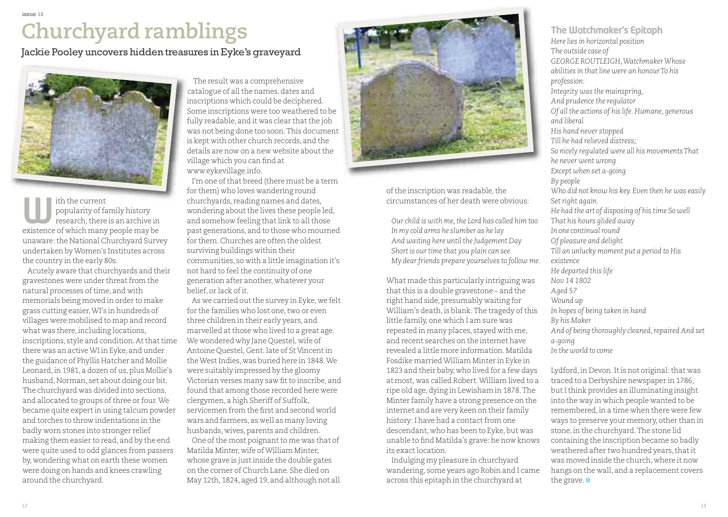## **Churchyard ramblings**

Jackie Pooley uncovers hidden treasures in Eyke's graveyard



ith the current popularity of family history research, there is an archive in existence of which many people may be unaware: the National Churchyard Survey undertaken byWomen's Institutes across the country in the early 80s. **W**

Acutely aware that churchyards and their gravestones were under threat from the natural processes of time, and with memorials being moved in order to make grass cutting easier,WI's in hundreds of villages were mobilised to map and record what was there, including locations, inscriptions, style and condition. At that time there was an activeWI in Eyke, and under the guidance of Phyllis Hatcher and Mollie Leonard, in 1981, a dozen of us, plus Mollie's husband, Norman, set about doing our bit. The churchyard was divided into sections, and allocated to groups of three or four. We became quite expertin using talcum powder and torches to throw indentations in the badly worn stones into stronger relief making them easier to read, and by the end were quite used to odd glances from passers by, wondering what on earth these women were doing on hands and knees crawling around the churchyard.

The result was a comprehensive catalogue of all the names, dates and inscriptions which could be deciphered. Some inscriptions were too weathered to be fully readable, and it was clear that the job was not being done too soon.This document is kept with other church records, and the details are now on a new website about the village which you can find at www.eykevillage.info.

I'm one of that breed (there must be a term for them) who loves wandering round churchyards, reading names and dates, wondering about the lives these people led, and somehow feeling that link to all those past generations, and to those who mourned for them.Churches are often the oldest surviving buildings within their communities, so with a little imagination it's not hard to feel the continuity of one generation after another, whatever your belief, or lack ofit.

As we carried out the survey in Eyke, we felt for the families who lost one, two or even three children in their early years, and marvelled at those who lived to a great age. We wondered why Jane Questel, wife of Antoine Questel, Gent.late of St Vincentin the West Indies, was buried here in 1848. We were suitably impressed by the gloomy Victorian verses many saw fit to inscribe, and found that among those recorded here were clergymen, a high Sheriff of Suffolk, servicemen from the first and second world wars and farmers, as well as many loving husbands, wives, parents and children. One of the most poignant to me was that of Matilda Minter, wife ofWilliam Minter, whose grave is justinside the double gates on the corner of Church Lane. She died on May 12th, 1824, aged 19, and although not all



of the inscription was readable, the circumstances of her death were obvious:

*Our child is with me,the Lord has called him too In my cold arms he slumber as he lay And waiting here until the Judgement Day Short is ourtime that you plain can see My dearfriends prepare yourselves to follow me.*

What made this particularly intriguing was that this is a double gravestone – and the right hand side, presumably waiting for William's death, is blank. The tragedy of this little family, one which I am sure was repeated in many places, stayed with me, and recent searches on the internet have revealed a little more information.Matilda Fosdike marriedWilliam Minter in Eyke in 1823 and their baby, who lived for a few days at most, was called Robert.William lived to a ripe old age,dying in Lewisham in 1878.The Minter family have a strong presence on the internet and are very keen on their family history: I have had a contact from one descendant, who has been to Eyke, but was unable to find Matilda's grave: he now knows its exactlocation.

Indulging my pleasure in churchyard wandering, some years ago Robin and I came across this epitaph in the churchyard at

**The Watchmaker's Epitaph** *Here lies in horizontal position The outside case of GEORGE ROUTLEIGH,WatchmakerWhose abilities in that line were an honourTo his profession: Integrity was the mainspring, And prudence the regulator Of all the actions of his life.Humane, generous and liberal His hand never stopped Till he had relieved distress; So nicely regulated were all his movementsThat he never went wrong Except when set a-going By people Who did not know his key. Even then he was easily Setright again. He had the art of disposing of his time So well That his hours glided away In one continualround Of pleasure and delight Till an unlucky moment put a period to His existence He departed this life Nov 14 1802 Aged 57 Wound up In hopes of being taken in hand By his Maker And of being thoroughly cleaned,repairedAnd set a-going*

*In the world to come*

Lydford, in Devon. It is not original: that was traced to a Derbyshire newspaper in 1786, but I think provides an illuminating insight into the way in which people wanted to be remembered,in a time when there were few ways to preserve your memory, other than in stone,in the churchyard.The stone lid containing the inscription became so badly weathered after two hundred years, that it was moved inside the church, where it now hangs on the wall, and a replacement covers the grave. **❉**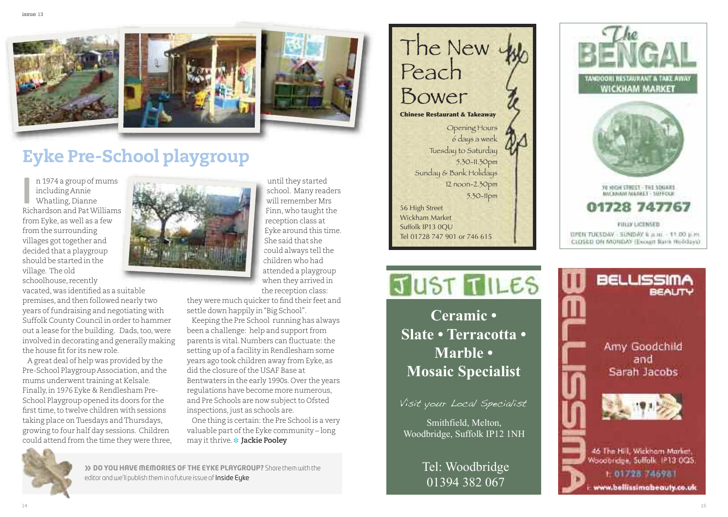





### **y k e P re - S c h o o l p l a y g r o u p**

n 1974 a group of mums including Annie Whatling, Dianne Richardson and Pat Williams from Eyke, as well as a few from the surrounding villages got together and decided that a playgroup should be started in the village. The old schoolhouse, recently **IE**

vacated, was identified as a suitable premises, and then followed nearly two years of fundraising and negotiating with Suffolk County Council in order to hammer out a lease for the building. Dads, too, were involved in decorating and generally making the house fit for its new role.

A great deal of help was provided by the Pre-School Playgroup Association, and the mums underwent training at Kelsale. Finally, in 1976 Eyke & Rendlesham Pre-School Playgroup opened its doors for the first time, to twelve children with sessions taking place on Tuesdays and Thursdays, growing to four half day sessions. Children could attend from the time they were three,



until they started school. Many readers will remember Mrs Finn, who taught the reception class at Eyke around this time. S h e s a i d t h a t s h e c o u l d a l w a y s t e l l t h e c h i l d r e n w h o h a d attended a playgroup when they arrived in the reception class:

they were much quicker to find their feet and settle down happily in "Big School".

Keeping the Pre School running has always been a challenge: help and support from parents is vital. Numbers can fluctuate: the setting up of a facility in Rendlesham some years ago took children away from Eyke, as did the closure of the USAF Base at Bentwaters in the early 1990s. Over the years regulations have become more numerous, and Pre Schools are now subject to Ofsted inspections, just as schools are.

One thing is certain: the Pre School is a very valuable part of the Eyke community – long may it thrive. \* Jackie Pooley



>> DO YOU HAVE MEMORIES OF THE EYKE PLAYGROUP? Share them with the editor and we'll publish them in a future issue of **Inside Eyke** '

The New Peach Bower **Chinese Restaurant & Takeaway** Opening Hours 6 days a week Tuesday to Saturday 5 . 3 0 - 1 1 . 3 0 p m Sunday & Bank Holidays 12 noon-2.50pm 5 . 3 0 - 1 1 p m 56 High Street Wickham Market Suffolk IP13 0QU

Smithfield, Melton,

Tel: Woodbridge 01394 382 067

**C e r a m i c •**

Tel 01728 747 901 or 746 615

**M a r b l e •**





www.bellissimabeauty.co.uk